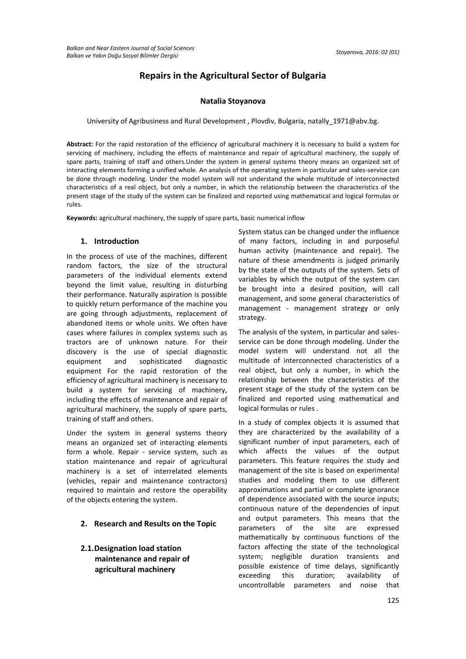## **Repairs in the Agricultural Sector of Bulgaria**

### **Natalia Stoyanova**

University of Agribusiness and Rural Development , Plovdiv, Bulgaria, [natally\\_1971@abv.bg.](mailto:natally_1971@abv.bg)

**Abstract:** For the rapid restoration of the efficiency of agricultural machinery it is necessary to build a system for servicing of machinery, including the effects of maintenance and repair of agricultural machinery, the supply of spare parts, training of staff and others.Under the system in general systems theory means an organized set of interacting elements forming a unified whole. An analysis of the operating system in particular and sales-service can be done through modeling. Under the model system will not understand the whole multitude of interconnected characteristics of a real object, but only a number, in which the relationship between the characteristics of the present stage of the study of the system can be finalized and reported using mathematical and logical formulas or rules.

**Keywords:** agricultural machinery, the supply of spare parts, basic numerical inflow

#### **1. Introduction**

In the process of use of the machines, different random factors, the size of the structural parameters of the individual elements extend beyond the limit value, resulting in disturbing their performance. Naturally aspiration is possible to quickly return performance of the machine you are going through adjustments, replacement of abandoned items or whole units. We often have cases where failures in complex systems such as tractors are of unknown nature. For their discovery is the use of special diagnostic equipment and sophisticated diagnostic equipment For the rapid restoration of the efficiency of agricultural machinery is necessary to build a system for servicing of machinery, including the effects of maintenance and repair of agricultural machinery, the supply of spare parts, training of staff and others.

Under the system in general systems theory means an organized set of interacting elements form a whole. Repair - service system, such as station maintenance and repair of agricultural machinery is a set of interrelated elements (vehicles, repair and maintenance contractors) required to maintain and restore the operability of the objects entering the system.

- **2. Research and Results on the Topic**
- **2.1.Designation load station maintenance and repair of agricultural machinery**

System status can be changed under the influence of many factors, including in and purposeful human activity (maintenance and repair). The nature of these amendments is judged primarily by the state of the outputs of the system. Sets of variables by which the output of the system can be brought into a desired position, will call management, and some general characteristics of management - management strategy or only strategy.

The analysis of the system, in particular and salesservice can be done through modeling. Under the model system will understand not all the multitude of interconnected characteristics of a real object, but only a number, in which the relationship between the characteristics of the present stage of the study of the system can be finalized and reported using mathematical and logical formulas or rules .

In a study of complex objects it is assumed that they are characterized by the availability of a significant number of input parameters, each of which affects the values of the output parameters. This feature requires the study and management of the site is based on experimental studies and modeling them to use different approximations and partial or complete ignorance of dependence associated with the source inputs; continuous nature of the dependencies of input and output parameters. This means that the parameters of the site are expressed mathematically by continuous functions of the factors affecting the state of the technological system; negligible duration transients and possible existence of time delays, significantly exceeding this duration; availability of uncontrollable parameters and noise that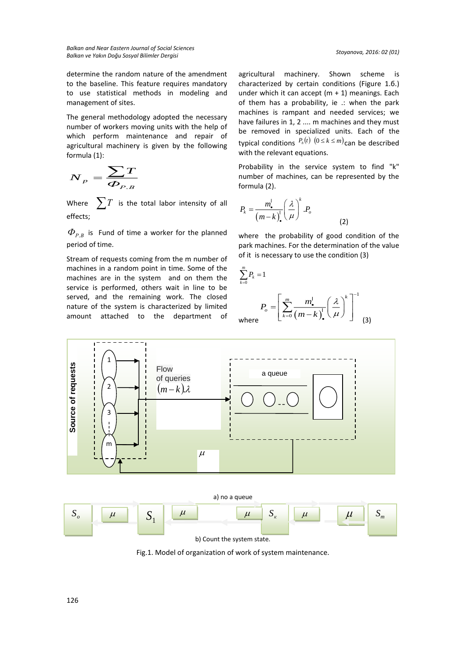determine the random nature of the amendment to the baseline. This feature requires mandatory to use statistical methods in modeling and management of sites.

The general methodology adopted the necessary number of workers moving units with the help of which perform maintenance and repair of agricultural machinery is given by the following formula (1):

$$
\boldsymbol{N}_p = \frac{\sum \boldsymbol{T}}{\boldsymbol{\Phi}_{P.B}}
$$

Where  $\sum T$  is the total labor intensity of all effects;

 $\Phi_{P.B}$  is Fund of time a worker for the planned period of time.

Stream of requests coming from the m number of machines in a random point in time. Some of the machines are in the system and on them the service is performed, others wait in line to be served, and the remaining work. The closed nature of the system is characterized by limited amount attached to the department of

agricultural machinery. Shown scheme is characterized by certain conditions (Figure 1.б.) under which it can accept  $(m + 1)$  meanings. Each of them has a probability, ie .: when the park machines is rampant and needed services; we have failures in 1, 2 .... m machines and they must be removed in specialized units. Each of the typical conditions  $P_h(t)$   $(0 \le k \le m)$  can be described with the relevant equations.

Probability in the service system to find "k" number of machines, can be represented by the formula (2).

$$
P_k = \frac{m_{\bullet}^{\prime}}{\left(m-k\right)_{\bullet}^{\prime}} \left(\frac{\lambda}{\mu}\right)^k . P_o
$$

where the probability of good condition of the park machines. For the determination of the value of it is necessary to use the condition (3)

(2)

$$
\sum_{k=0}^{m} P_k = 1
$$
\n
$$
P_o = \left[ \sum_{k=0}^{m} \frac{m_{\bullet}^l}{(m-k)_{\bullet}^l} \left( \frac{\lambda}{\mu} \right)^k \right]^{-1}
$$
\n(3)



Fig.1. Model of organization of work of system maintenance.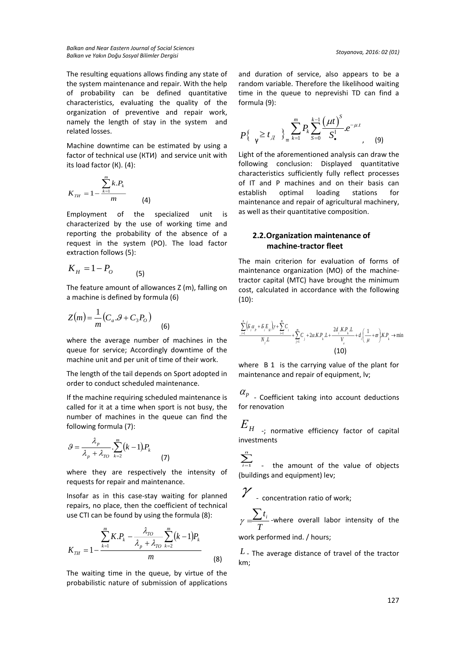*Balkan and Near Eastern Journal of Social Sciences Balkan ve Yakın Doğu Sosyal Bilimler Dergisi Stoyanova, 2016: 02 (01)*

The resulting equations allows finding any state of the system maintenance and repair. With the help of probability can be defined quantitative characteristics, evaluating the quality of the organization of preventive and repair work, namely the length of stay in the system and related losses.

Machine downtime can be estimated by using a factor of technical use (КТИ) and service unit with its load factor (К). (4):

$$
K_{TH} = 1 - \frac{\sum_{k=1}^{m} k.P_k}{m}
$$
 (4)

Employment of the specialized unit is characterized by the use of working time and reporting the probability of the absence of a request in the system (PО). The load factor extraction follows (5):

$$
K_H = 1 - P_o \tag{5}
$$

The feature amount of allowances Z (m), falling on a machine is defined by formula (6)

$$
Z(m) = \frac{1}{m}(C_a . 9 + C_3 P_o)
$$
 (6)

where the average number of machines in the queue for service; Accordingly downtime of the machine unit and per unit of time of their work.

The length of the tail depends on Sport adopted in order to conduct scheduled maintenance.

If the machine requiring scheduled maintenance is called for it at a time when sport is not busy, the number of machines in the queue can find the following formula (7):

$$
S = \frac{\lambda_p}{\lambda_p + \lambda_{TO}} \cdot \sum_{k=2}^{m} (k-1) P_k
$$
 (7)

where they are respectively the intensity of requests for repair and maintenance.

Insofar as in this case-stay waiting for planned repairs, no place, then the coefficient of technical use CTI can be found by using the formula (8):

$$
K_{TH} = 1 - \frac{\sum_{k=1}^{m} K.P_k - \frac{\lambda_{TO}}{\lambda_p + \lambda_{TO}} \sum_{k=2}^{m} (k-1) P_k}{m}
$$
(8)

The waiting time in the queue, by virtue of the probabilistic nature of submission of applications

and duration of service, also appears to be a random variable. Therefore the likelihood waiting time in the queue to neprevishi TD can find a formula (9):

$$
P\{\gamma \ge t_{\mathcal{A}} \} \ge \sum_{k=1}^{m} P_k \sum_{s=0}^{k-1} \frac{(\mu t)^s}{S!} e^{-\mu t}, \qquad (9)
$$

Light of the aforementioned analysis can draw the following conclusion: Displayed quantitative characteristics sufficiently fully reflect processes of IT and P machines and on their basis can establish optimal loading stations for maintenance and repair of agricultural machinery, as well as their quantitative composition.

## **2.2.Organization maintenance of machine-tractor fleet**

The main criterion for evaluation of forms of maintenance organization (MO) of the machinetractor capital (MTC) have brought the minimum cost, calculated in accordance with the following (10):

$$
\frac{\sum_{i=1}^{n} \left( S_{i} \alpha_{p} + S_{i} E_{H} \right) y + \sum_{i=1}^{n} C_{i}}{N_{i} L} + \sum_{j=1}^{n} C_{j} + 2 \alpha K P_{k} L + \frac{2 d_{i} K P_{k} L}{V_{e}} + d_{i} \left( \frac{1}{\mu} + \varpi \right) K P_{k} \to \min
$$
\n(10)

where B 1 is the carrying value of the plant for maintenance and repair of equipment, lv;

 $\alpha_{p}$  - Coefficient taking into account deductions for renovation

 $E$ <sub>*H* -; normative efficiency factor of capital</sub> investments

 $\sum$ the amount of the value of objects (buildings and equipment) lev;

 $\mathcal Y$  - concentration ratio of work;

*T*  $\gamma = \frac{\sum t_i}{\sum t_i}$  -where overall labor intensity of the work performed ind. / hours;

*<sup>L</sup>* - The average distance of travel of the tractor km;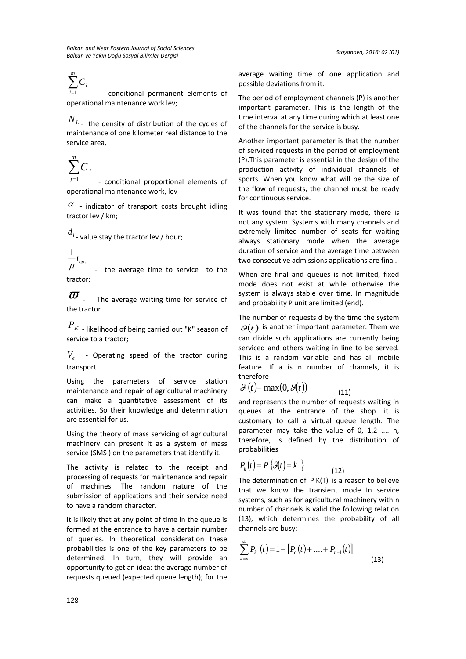# $\sum_{i=1}^m$ *Ci*

*i* <sup>1</sup> - conditional permanent elements of operational maintenance work lev;

 $N_{L_{\pm}}$  the density of distribution of the cycles of maintenance of one kilometer real distance to the service area,

$$
\sum_{i=1}^m C_i
$$

 *j* 1 - conditional proportional elements of operational maintenance work, lev

 $\alpha$  - indicator of transport costs brought idling tractor lev / km;

 $d_{i}$  <sub>-</sub> value stay the tractor lev / hour;

$$
\frac{1}{\mu}t_{cp.}
$$
 the average time to service to the  
tractor;

 $\overline{w}$  . The average waiting time for service of the tractor

*<sup>Р</sup><sup>К</sup>* - likelihood of being carried out "K" season of service to a tractor;

*Ve* - Operating speed of the tractor during transport

Using the parameters of service station maintenance and repair of agricultural machinery can make a quantitative assessment of its activities. So their knowledge and determination are essential for us.

Using the theory of mass servicing of agricultural machinery can present it as a system of mass service (SMS ) on the parameters that identify it.

The activity is related to the receipt and processing of requests for maintenance and repair of machines. The random nature of the submission of applications and their service need to have a random character.

It is likely that at any point of time in the queue is formed at the entrance to have a certain number of queries. In theoretical consideration these probabilities is one of the key parameters to be determined. In turn, they will provide an opportunity to get an idea: the average number of requests queued (expected queue length); for the

average waiting time of one application and possible deviations from it.

The period of employment channels (P) is another important parameter. This is the length of the time interval at any time during which at least one of the channels for the service is busy.

Another important parameter is that the number of serviced requests in the period of employment (P).This parameter is essential in the design of the production activity of individual channels of sports. When you know what will be the size of the flow of requests, the channel must be ready for continuous service.

It was found that the stationary mode, there is not any system. Systems with many channels and extremely limited number of seats for waiting always stationary mode when the average duration of service and the average time between two consecutive admissions applications are final.

When are final and queues is not limited, fixed mode does not exist at while otherwise the system is always stable over time. In magnitude and probability P unit are limited (end).

The number of requests d by the time the system  $\mathcal{G}(t)$  is another important parameter. Them we can divide such applications are currently being serviced and others waiting in line to be served. This is a random variable and has all mobile feature. If a is n number of channels, it is therefore

$$
\mathcal{G}_1(t) = \max(0, \mathcal{G}(t)) \tag{11}
$$

and represents the number of requests waiting in queues at the entrance of the shop. it is customary to call a virtual queue length. The parameter may take the value of 0, 1,2 .... n, therefore, is defined by the distribution of probabilities

$$
P_k(t) = P\left\{\mathcal{G}(t) = k \quad \right\} \tag{12}
$$

The determination of P K(T) is a reason to believe that we know the transient mode In service systems, such as for agricultural machinery with n number of channels is valid the following relation (13), which determines the probability of all channels are busy:

$$
\sum_{\kappa=n}^{\infty} P_{k}(t) = 1 - [P_{o}(t) + \dots + P_{n-1}(t)]
$$
\n(13)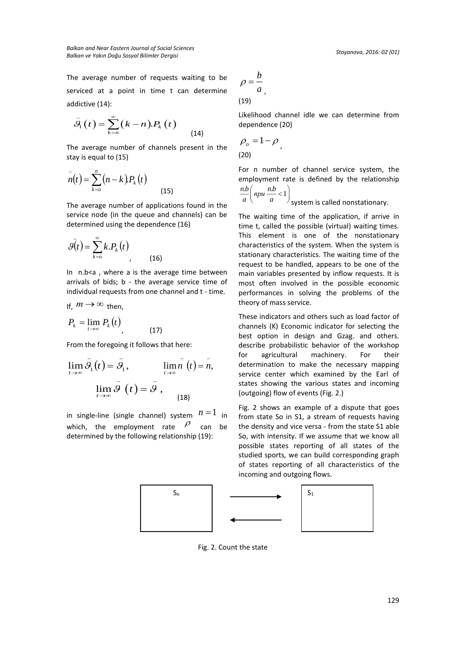*Balkan and Near Eastern Journal of Social Sciences Balkan ve Yakın Doğu Sosyal Bilimler Dergisi Stoyanova, 2016: 02 (01)*

The average number of requests waiting to be serviced at a point in time t can determine addictive (14):

$$
\bar{S}_1(t) = \sum_{k=n}^{\infty} (k-n).P_k(t)
$$
\n(14)

The average number of channels present in the stay is equal to (15)

$$
\bar{n}(t) = \sum_{k=0}^{n} (n-k) P_k(t)
$$

The average number of applications found in the service node (in the queue and channels) can be determined using the dependence (16)

(15)

$$
\bar{\mathcal{G}(t)} = \sum_{k=0}^{\infty} k.P_k(t)
$$
\n(16)

In n.b<a , where a is the average time between arrivals of bids; b - the average service time of individual requests from one channel and t - time.

If, 
$$
m \to \infty
$$
 then,  
\n
$$
P_k = \lim_{t \to \infty} P_k(t)
$$
\n(17)

From the foregoing it follows that here:

$$
\lim_{t \to \infty} \overline{\mathcal{G}}_1(t) = \overline{\mathcal{G}}_1, \qquad \lim_{t \to \infty} \overline{n}(t) = \overline{n},
$$

$$
\lim_{t \to \infty} \overline{\mathcal{G}}(t) = \overline{\mathcal{G}}(t)
$$
(18)

in single-line (single channel) system  $n=1$  in which, the employment rate  $\rho$ can be determined by the following relationship (19):

$$
\rho = \frac{b}{a},
$$
\n(19)

Likelihood channel idle we can determine from dependence (20)

$$
\rho_o = 1 - \rho
$$
\n<sup>(20)</sup>

For n number of channel service system, the employment rate is defined by the relationship  $\frac{nb}{a}$   $\left( npu \frac{nb}{a} < 1 \right)$ 

$$
a \left( \begin{array}{cc} a & b \\ c & d \end{array} \right)
$$
 system is called nonstationary.

The waiting time of the application, if arrive in time t, called the possible (virtual) waiting times. This element is one of the nonstationary characteristics of the system. When the system is stationary characteristics. The waiting time of the request to be handled, appears to be one of the main variables presented by inflow requests. It is most often involved in the possible economic performances in solving the problems of the theory of mass service.

These indicators and others such as load factor of channels (K) Economic indicator for selecting the best option in design and Gzag. and others. describe probabilistic behavior of the workshop for agricultural machinery. For their determination to make the necessary mapping service center which examined by the Earl of states showing the various states and incoming (outgoing) flow of events (Fig. 2.)

Fig. 2 shows an example of a dispute that goes from state So in S1, a stream of requests having the density and vice versa - from the state S1 able So, with intensity. If we assume that we know all possible states reporting of all states of the studied sports, we can build corresponding graph of states reporting of all characteristics of the incoming and outgoing flows.



Fig. 2. Count the state